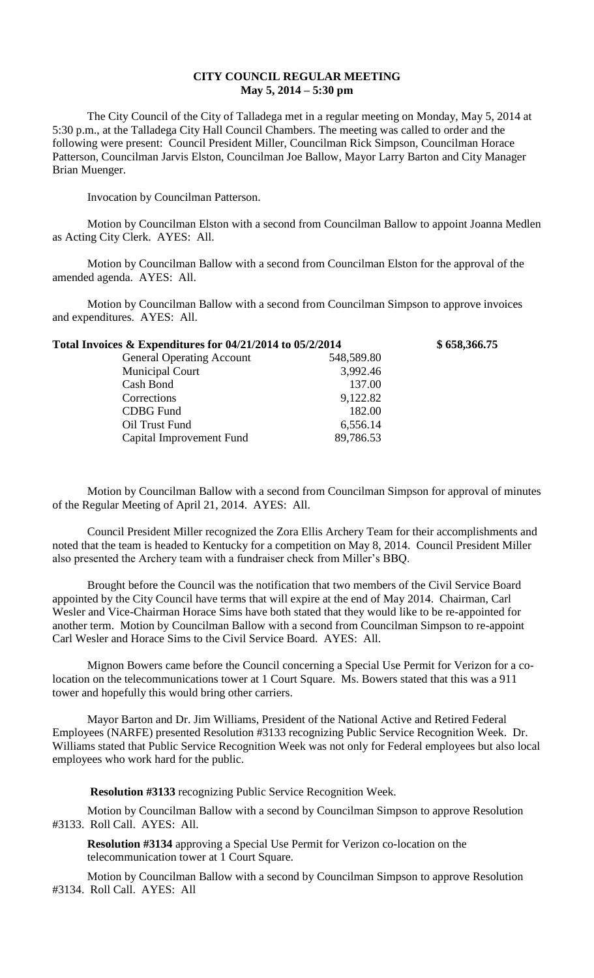## **CITY COUNCIL REGULAR MEETING May 5, 2014 – 5:30 pm**

The City Council of the City of Talladega met in a regular meeting on Monday, May 5, 2014 at 5:30 p.m., at the Talladega City Hall Council Chambers. The meeting was called to order and the following were present: Council President Miller, Councilman Rick Simpson, Councilman Horace Patterson, Councilman Jarvis Elston, Councilman Joe Ballow, Mayor Larry Barton and City Manager Brian Muenger.

Invocation by Councilman Patterson.

Motion by Councilman Elston with a second from Councilman Ballow to appoint Joanna Medlen as Acting City Clerk. AYES: All.

Motion by Councilman Ballow with a second from Councilman Elston for the approval of the amended agenda. AYES: All.

Motion by Councilman Ballow with a second from Councilman Simpson to approve invoices and expenditures. AYES: All.

| Total Invoices & Expenditures for 04/21/2014 to 05/2/2014 |            | \$658,366.75 |
|-----------------------------------------------------------|------------|--------------|
| <b>General Operating Account</b>                          | 548,589.80 |              |
| <b>Municipal Court</b>                                    | 3,992.46   |              |
| Cash Bond                                                 | 137.00     |              |
| Corrections                                               | 9,122.82   |              |
| <b>CDBG</b> Fund                                          | 182.00     |              |
| Oil Trust Fund                                            | 6,556.14   |              |
| Capital Improvement Fund                                  | 89,786.53  |              |

Motion by Councilman Ballow with a second from Councilman Simpson for approval of minutes of the Regular Meeting of April 21, 2014. AYES: All.

Council President Miller recognized the Zora Ellis Archery Team for their accomplishments and noted that the team is headed to Kentucky for a competition on May 8, 2014. Council President Miller also presented the Archery team with a fundraiser check from Miller's BBQ.

Brought before the Council was the notification that two members of the Civil Service Board appointed by the City Council have terms that will expire at the end of May 2014. Chairman, Carl Wesler and Vice-Chairman Horace Sims have both stated that they would like to be re-appointed for another term. Motion by Councilman Ballow with a second from Councilman Simpson to re-appoint Carl Wesler and Horace Sims to the Civil Service Board. AYES: All.

Mignon Bowers came before the Council concerning a Special Use Permit for Verizon for a colocation on the telecommunications tower at 1 Court Square. Ms. Bowers stated that this was a 911 tower and hopefully this would bring other carriers.

Mayor Barton and Dr. Jim Williams, President of the National Active and Retired Federal Employees (NARFE) presented Resolution #3133 recognizing Public Service Recognition Week. Dr. Williams stated that Public Service Recognition Week was not only for Federal employees but also local employees who work hard for the public.

**Resolution #3133** recognizing Public Service Recognition Week.

Motion by Councilman Ballow with a second by Councilman Simpson to approve Resolution #3133. Roll Call. AYES: All.

**Resolution #3134** approving a Special Use Permit for Verizon co-location on the telecommunication tower at 1 Court Square.

Motion by Councilman Ballow with a second by Councilman Simpson to approve Resolution #3134. Roll Call. AYES: All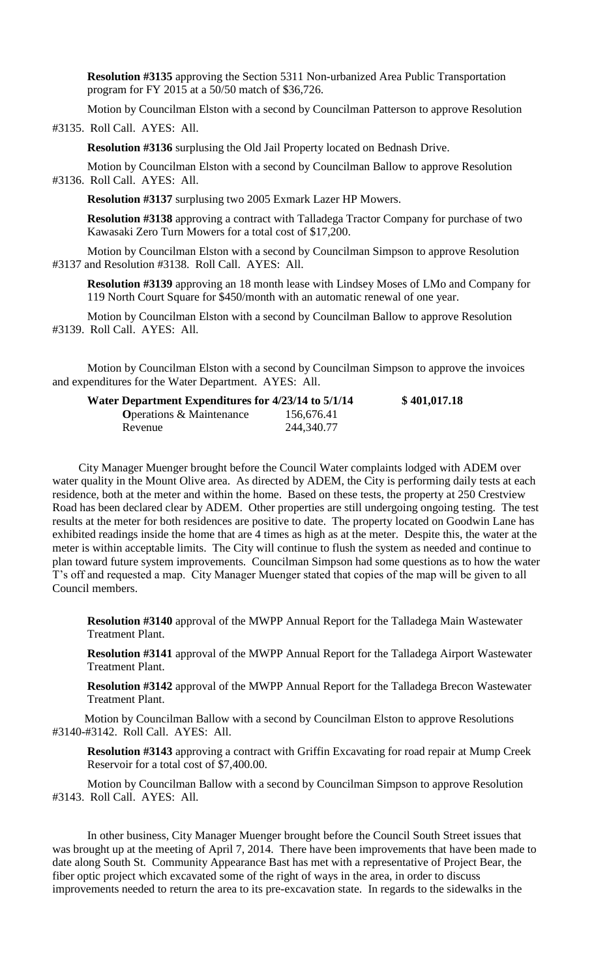**Resolution #3135** approving the Section 5311 Non-urbanized Area Public Transportation program for FY 2015 at a 50/50 match of \$36,726.

Motion by Councilman Elston with a second by Councilman Patterson to approve Resolution

#3135. Roll Call. AYES: All.

**Resolution #3136** surplusing the Old Jail Property located on Bednash Drive.

Motion by Councilman Elston with a second by Councilman Ballow to approve Resolution #3136. Roll Call. AYES: All.

**Resolution #3137** surplusing two 2005 Exmark Lazer HP Mowers.

**Resolution #3138** approving a contract with Talladega Tractor Company for purchase of two Kawasaki Zero Turn Mowers for a total cost of \$17,200.

Motion by Councilman Elston with a second by Councilman Simpson to approve Resolution #3137 and Resolution #3138. Roll Call. AYES: All.

**Resolution #3139** approving an 18 month lease with Lindsey Moses of LMo and Company for 119 North Court Square for \$450/month with an automatic renewal of one year.

Motion by Councilman Elston with a second by Councilman Ballow to approve Resolution #3139. Roll Call. AYES: All.

Motion by Councilman Elston with a second by Councilman Simpson to approve the invoices and expenditures for the Water Department. AYES: All.

| Water Department Expenditures for 4/23/14 to 5/1/14 |            | \$401,017.18 |
|-----------------------------------------------------|------------|--------------|
| <b>Operations &amp; Maintenance</b>                 | 156,676.41 |              |
| Revenue                                             | 244,340.77 |              |

City Manager Muenger brought before the Council Water complaints lodged with ADEM over water quality in the Mount Olive area. As directed by ADEM, the City is performing daily tests at each residence, both at the meter and within the home. Based on these tests, the property at 250 Crestview Road has been declared clear by ADEM. Other properties are still undergoing ongoing testing. The test results at the meter for both residences are positive to date. The property located on Goodwin Lane has exhibited readings inside the home that are 4 times as high as at the meter. Despite this, the water at the meter is within acceptable limits. The City will continue to flush the system as needed and continue to plan toward future system improvements. Councilman Simpson had some questions as to how the water T's off and requested a map. City Manager Muenger stated that copies of the map will be given to all Council members.

**Resolution #3140** approval of the MWPP Annual Report for the Talladega Main Wastewater Treatment Plant.

**Resolution #3141** approval of the MWPP Annual Report for the Talladega Airport Wastewater Treatment Plant.

**Resolution #3142** approval of the MWPP Annual Report for the Talladega Brecon Wastewater Treatment Plant.

 Motion by Councilman Ballow with a second by Councilman Elston to approve Resolutions #3140-#3142. Roll Call. AYES: All.

**Resolution #3143** approving a contract with Griffin Excavating for road repair at Mump Creek Reservoir for a total cost of \$7,400.00.

Motion by Councilman Ballow with a second by Councilman Simpson to approve Resolution #3143. Roll Call. AYES: All.

In other business, City Manager Muenger brought before the Council South Street issues that was brought up at the meeting of April 7, 2014. There have been improvements that have been made to date along South St. Community Appearance Bast has met with a representative of Project Bear, the fiber optic project which excavated some of the right of ways in the area, in order to discuss improvements needed to return the area to its pre-excavation state. In regards to the sidewalks in the